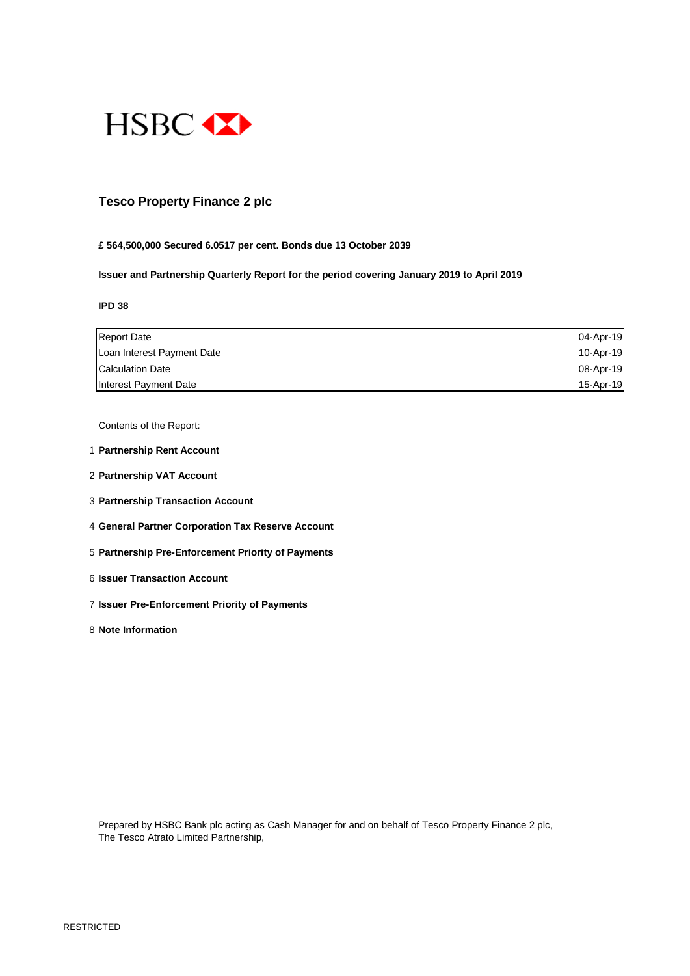

### **Tesco Property Finance 2 plc**

#### **£ 564,500,000 Secured 6.0517 per cent. Bonds due 13 October 2039**

**Issuer and Partnership Quarterly Report for the period covering January 2019 to April 2019**

#### **IPD 38**

| <b>Report Date</b>         | 04-Apr-19 |
|----------------------------|-----------|
| Loan Interest Payment Date | 10-Apr-19 |
| Calculation Date           | 08-Apr-19 |
| Interest Payment Date      | 15-Apr-19 |

Contents of the Report:

- 1 **Partnership Rent Account**
- 2 **Partnership VAT Account**
- 3 **Partnership Transaction Account**
- 4 **General Partner Corporation Tax Reserve Account**
- 5 **Partnership Pre-Enforcement Priority of Payments**
- 6 **Issuer Transaction Account**
- 7 **Issuer Pre-Enforcement Priority of Payments**
- 8 **Note Information**

Prepared by HSBC Bank plc acting as Cash Manager for and on behalf of Tesco Property Finance 2 plc, The Tesco Atrato Limited Partnership,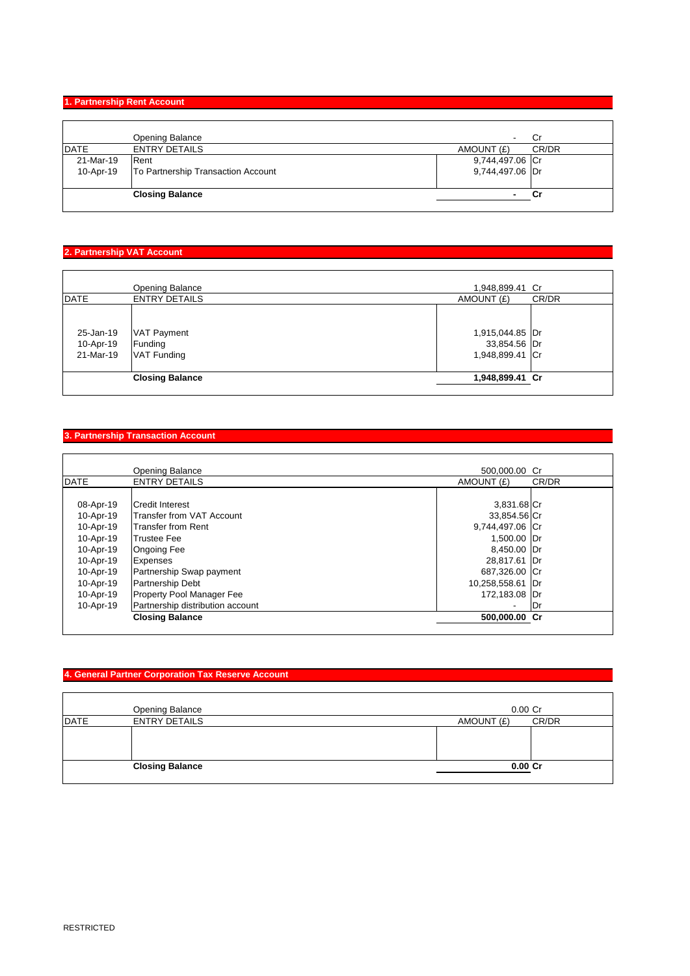### **1. Partnership Rent Account**

|           | <b>Opening Balance</b>             | Cr<br>$\overline{\phantom{a}}$ |       |
|-----------|------------------------------------|--------------------------------|-------|
| DATE      | <b>ENTRY DETAILS</b>               | AMOUNT (£)                     | CR/DR |
| 21-Mar-19 | Rent                               | 9,744,497.06 Cr                |       |
| 10-Apr-19 | To Partnership Transaction Account | 9,744,497.06 Dr                |       |
|           | <b>Closing Balance</b>             | Cr                             |       |

# **2. Partnership VAT Account**

|                                     | <b>Opening Balance</b>                       | 1,948,899.41 Cr                                    |       |
|-------------------------------------|----------------------------------------------|----------------------------------------------------|-------|
| DATE                                | <b>ENTRY DETAILS</b>                         | AMOUNT (£)                                         | CR/DR |
| 25-Jan-19<br>10-Apr-19<br>21-Mar-19 | VAT Payment<br>Funding<br><b>VAT Funding</b> | 1,915,044.85 Dr<br>33,854.56 Dr<br>1,948,899.41 Cr |       |
|                                     | <b>Closing Balance</b>                       | 1,948,899.41 Cr                                    |       |
|                                     |                                              |                                                    |       |

### **3. Partnership Transaction Account**

|             | Opening Balance                  | 500,000.00 Cr    |       |
|-------------|----------------------------------|------------------|-------|
| <b>DATE</b> | <b>ENTRY DETAILS</b>             | AMOUNT (£)       | CR/DR |
|             |                                  |                  |       |
| 08-Apr-19   | Credit Interest                  | 3,831.68 Cr      |       |
| 10-Apr-19   | <b>Transfer from VAT Account</b> | 33,854.56 Cr     |       |
| 10-Apr-19   | <b>Transfer from Rent</b>        | 9,744,497.06 Cr  |       |
| 10-Apr-19   | <b>Trustee Fee</b>               | 1,500.00 Dr      |       |
| 10-Apr-19   | <b>Ongoing Fee</b>               | 8,450.00 Dr      |       |
| 10-Apr-19   | Expenses                         | 28,817.61 Dr     |       |
| 10-Apr-19   | Partnership Swap payment         | 687,326.00 Cr    |       |
| 10-Apr-19   | Partnership Debt                 | 10,258,558.61 Dr |       |
| 10-Apr-19   | Property Pool Manager Fee        | 172,183.08 Dr    |       |
| 10-Apr-19   | Partnership distribution account | ۰                | IDr   |
|             | <b>Closing Balance</b>           | 500,000.00 Cr    |       |

### **4. General Partner Corporation Tax Reserve Account**

|                        | Opening Balance      | $0.00$ Cr           |
|------------------------|----------------------|---------------------|
| <b>DATE</b>            | <b>ENTRY DETAILS</b> | CR/DR<br>AMOUNT (£) |
|                        |                      |                     |
|                        |                      |                     |
|                        |                      |                     |
| <b>Closing Balance</b> |                      | $0.00C$ r           |
|                        |                      |                     |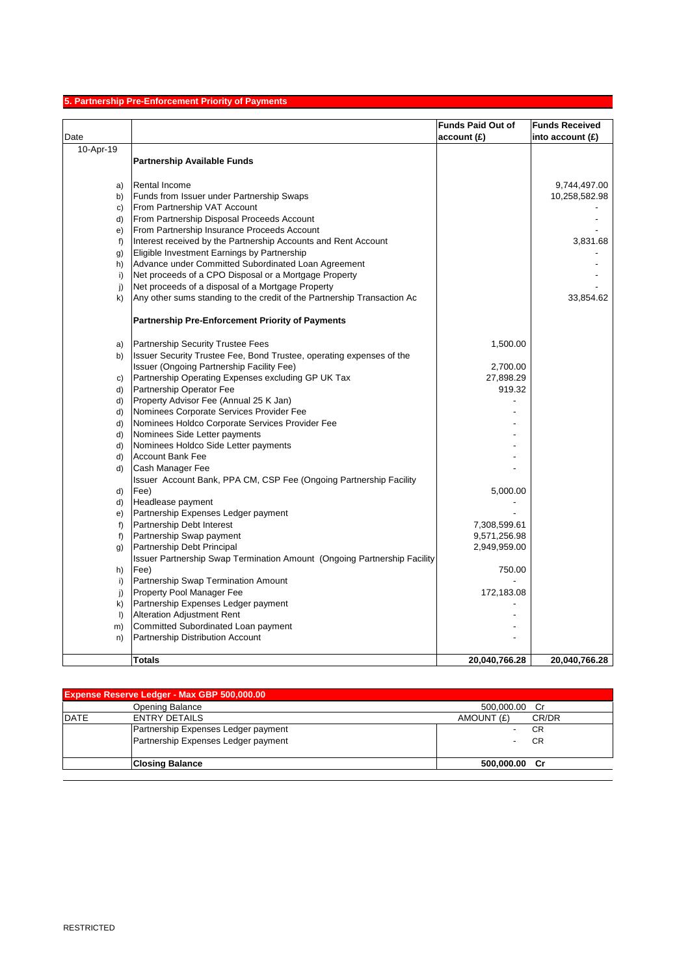# **5. Partnership Pre-Enforcement Priority of Payments**

|              |                                                                                | <b>Funds Paid Out of</b> | <b>Funds Received</b> |
|--------------|--------------------------------------------------------------------------------|--------------------------|-----------------------|
| Date         |                                                                                | account(E)               | into account $(E)$    |
| 10-Apr-19    |                                                                                |                          |                       |
|              | <b>Partnership Available Funds</b>                                             |                          |                       |
|              |                                                                                |                          |                       |
| a)           | <b>Rental Income</b>                                                           |                          | 9,744,497.00          |
| b)           | Funds from Issuer under Partnership Swaps                                      |                          | 10,258,582.98         |
| c)           | From Partnership VAT Account                                                   |                          |                       |
| d)           | From Partnership Disposal Proceeds Account                                     |                          |                       |
| e)           | From Partnership Insurance Proceeds Account                                    |                          |                       |
| f            | Interest received by the Partnership Accounts and Rent Account                 |                          | 3,831.68              |
| g)           | Eligible Investment Earnings by Partnership                                    |                          |                       |
| h)           | Advance under Committed Subordinated Loan Agreement                            |                          |                       |
| i)           | Net proceeds of a CPO Disposal or a Mortgage Property                          |                          |                       |
| j)           | Net proceeds of a disposal of a Mortgage Property                              |                          |                       |
| k)           | Any other sums standing to the credit of the Partnership Transaction Ac        |                          | 33,854.62             |
|              | <b>Partnership Pre-Enforcement Priority of Payments</b>                        |                          |                       |
|              |                                                                                |                          |                       |
| a)           | Partnership Security Trustee Fees                                              | 1,500.00                 |                       |
| b)           | Issuer Security Trustee Fee, Bond Trustee, operating expenses of the           |                          |                       |
|              | Issuer (Ongoing Partnership Facility Fee)                                      | 2,700.00                 |                       |
| C)<br>d)     | Partnership Operating Expenses excluding GP UK Tax<br>Partnership Operator Fee | 27,898.29<br>919.32      |                       |
| d)           | Property Advisor Fee (Annual 25 K Jan)                                         |                          |                       |
| d)           | Nominees Corporate Services Provider Fee                                       |                          |                       |
| d)           | Nominees Holdco Corporate Services Provider Fee                                |                          |                       |
| d)           | Nominees Side Letter payments                                                  |                          |                       |
| d)           | Nominees Holdco Side Letter payments                                           |                          |                       |
| d)           | <b>Account Bank Fee</b>                                                        |                          |                       |
| d)           | Cash Manager Fee                                                               |                          |                       |
|              | Issuer Account Bank, PPA CM, CSP Fee (Ongoing Partnership Facility             |                          |                       |
| d)           | Fee)                                                                           | 5,000.00                 |                       |
| d)           | Headlease payment                                                              |                          |                       |
| e)           | Partnership Expenses Ledger payment                                            |                          |                       |
| $f$ )        | Partnership Debt Interest                                                      | 7,308,599.61             |                       |
| f)           | Partnership Swap payment                                                       | 9,571,256.98             |                       |
| g)           | Partnership Debt Principal                                                     | 2,949,959.00             |                       |
|              | Issuer Partnership Swap Termination Amount (Ongoing Partnership Facility       |                          |                       |
| h)           | Fee)                                                                           | 750.00                   |                       |
| i)           | Partnership Swap Termination Amount                                            |                          |                       |
| j)           | Property Pool Manager Fee                                                      | 172,183.08               |                       |
| k)           | Partnership Expenses Ledger payment                                            |                          |                       |
| $\mathsf{I}$ | <b>Alteration Adjustment Rent</b>                                              |                          |                       |
| m)           | Committed Subordinated Loan payment                                            |                          |                       |
| n)           | Partnership Distribution Account                                               |                          |                       |
|              | Totals                                                                         | 20,040,766.28            | 20,040,766.28         |

| <b>Expense Reserve Ledger - Max GBP 500,000.00</b> |                                     |                     |  |
|----------------------------------------------------|-------------------------------------|---------------------|--|
|                                                    | Opening Balance                     | 500,000.00 Cr       |  |
| <b>DATE</b>                                        | <b>ENTRY DETAILS</b>                | AMOUNT (£)<br>CR/DR |  |
|                                                    | Partnership Expenses Ledger payment | CR                  |  |
|                                                    | Partnership Expenses Ledger payment | CR                  |  |
|                                                    | <b>Closing Balance</b>              | 500,000.00 Cr       |  |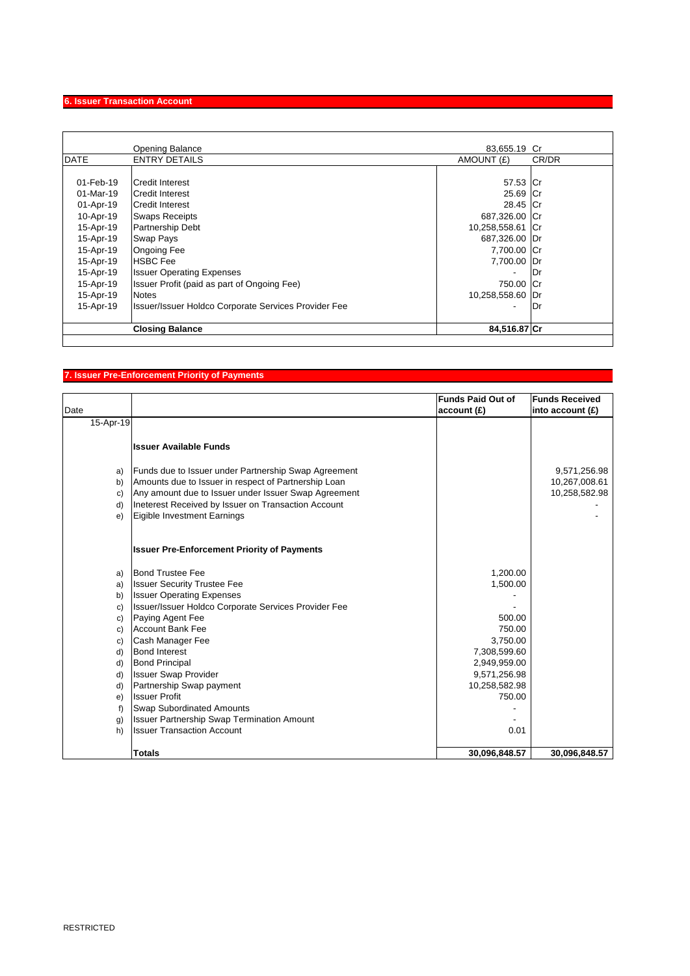# **6. Issuer Transaction Account**

|             | <b>Opening Balance</b>                               | 83,655.19 Cr     |       |
|-------------|------------------------------------------------------|------------------|-------|
| <b>DATE</b> | <b>ENTRY DETAILS</b>                                 | AMOUNT (£)       | CR/DR |
|             |                                                      |                  |       |
| 01-Feb-19   | <b>ICredit Interest</b>                              | 57.53 Cr         |       |
| 01-Mar-19   | <b>ICredit Interest</b>                              | 25.69 Cr         |       |
| 01-Apr-19   | Credit Interest                                      | 28.45 Cr         |       |
| 10-Apr-19   | <b>Swaps Receipts</b>                                | 687,326.00 Cr    |       |
| 15-Apr-19   | <b>Partnership Debt</b>                              | 10,258,558.61 Cr |       |
| 15-Apr-19   | <b>Swap Pays</b>                                     | 687,326.00 Dr    |       |
| 15-Apr-19   | <b>Ongoing Fee</b>                                   | 7,700.00 Cr      |       |
| 15-Apr-19   | <b>HSBC</b> Fee                                      | 7,700.00         | Dr    |
| 15-Apr-19   | <b>Issuer Operating Expenses</b>                     | ٠                | Dr    |
| 15-Apr-19   | Issuer Profit (paid as part of Ongoing Fee)          | 750.00           | ∣Cr   |
| 15-Apr-19   | <b>Notes</b>                                         | 10,258,558.60    | IDr   |
| 15-Apr-19   | Issuer/Issuer Holdco Corporate Services Provider Fee | ٠                | Dr    |
|             | <b>Closing Balance</b>                               | 84,516.87 Cr     |       |
|             |                                                      |                  |       |

# **7. Issuer Pre-Enforcement Priority of Payments**

| Date      |                                                      | <b>Funds Paid Out of</b><br>account(E) | <b>Funds Received</b><br>into account $(f)$ |
|-----------|------------------------------------------------------|----------------------------------------|---------------------------------------------|
| 15-Apr-19 |                                                      |                                        |                                             |
|           |                                                      |                                        |                                             |
|           | <b>Issuer Available Funds</b>                        |                                        |                                             |
|           |                                                      |                                        |                                             |
| a)        | Funds due to Issuer under Partnership Swap Agreement |                                        | 9,571,256.98                                |
| b)        | Amounts due to Issuer in respect of Partnership Loan |                                        | 10,267,008.61                               |
| c)        | Any amount due to Issuer under Issuer Swap Agreement |                                        | 10,258,582.98                               |
| d)        | Ineterest Received by Issuer on Transaction Account  |                                        |                                             |
| e)        | Eigible Investment Earnings                          |                                        |                                             |
|           |                                                      |                                        |                                             |
|           | <b>Issuer Pre-Enforcement Priority of Payments</b>   |                                        |                                             |
| a)        | <b>Bond Trustee Fee</b>                              | 1,200.00                               |                                             |
| a)        | <b>Issuer Security Trustee Fee</b>                   | 1,500.00                               |                                             |
| b)        | <b>Issuer Operating Expenses</b>                     |                                        |                                             |
| c)        | Issuer/Issuer Holdco Corporate Services Provider Fee |                                        |                                             |
| c)        | Paying Agent Fee                                     | 500.00                                 |                                             |
| c)        | <b>Account Bank Fee</b>                              | 750.00                                 |                                             |
| C)        | Cash Manager Fee                                     | 3,750.00                               |                                             |
| d)        | <b>Bond Interest</b>                                 | 7,308,599.60                           |                                             |
| d)        | <b>Bond Principal</b>                                | 2,949,959.00                           |                                             |
| d)        | <b>Issuer Swap Provider</b>                          | 9,571,256.98                           |                                             |
| d)        | Partnership Swap payment                             | 10,258,582.98                          |                                             |
| e)        | <b>Issuer Profit</b>                                 | 750.00                                 |                                             |
| f)        | <b>Swap Subordinated Amounts</b>                     |                                        |                                             |
| g)        | <b>Issuer Partnership Swap Termination Amount</b>    |                                        |                                             |
| h)        | <b>Issuer Transaction Account</b>                    | 0.01                                   |                                             |
|           |                                                      |                                        |                                             |
|           | <b>Totals</b>                                        | 30,096,848.57                          | 30,096,848.57                               |